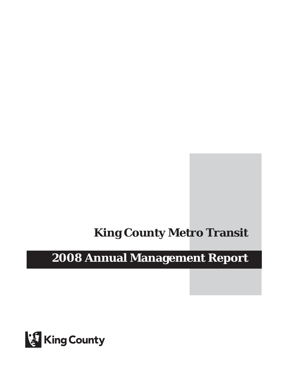# **King County Metro Transit**

# **2008 Annual Management Report**

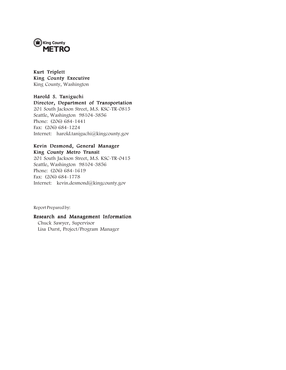

Kurt Triplett King County Executive King County, Washington

## Harold S. Taniguchi

## Director, Department of Transportation

201 South Jackson Street, M.S. KSC-TR-0815 Seattle, Washington 98104-3856 Phone: (206) 684-1441 Fax: (206) 684-1224 Internet: harold.taniguchi@kingcounty.gov

### Kevin Desmond, General Manager King County Metro Transit

201 South Jackson Street, M.S. KSC-TR-0415 Seattle, Washington 98104-3856 Phone: (206) 684-1619 Fax: (206) 684-1778 Internet: kevin.desmond@kingcounty.gov

Report Prepared by:

### Research and Management Information

Chuck Sawyer, Supervisor Lisa Durst, Project/Program Manager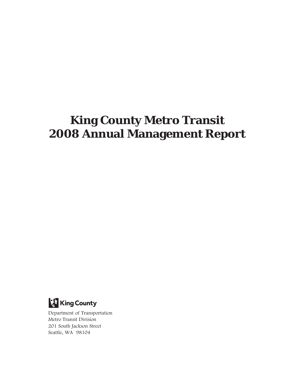# **King County Metro Transit 2008 Annual Management Report**



Department of Transportation Metro Transit Division 201 South Jackson Street Seattle, WA 98104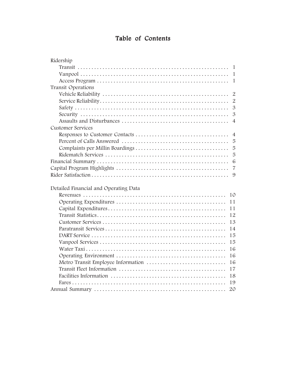# Table of Contents

| Ridership                                |
|------------------------------------------|
| $\mathbf{1}$                             |
| $\mathbf{1}$                             |
| 1                                        |
| Transit Operations                       |
| $\overline{2}$                           |
| $\overline{2}$                           |
| $\mathfrak{B}$                           |
| $\mathfrak{B}$                           |
| $\overline{4}$                           |
| <b>Customer Services</b>                 |
| $\overline{4}$                           |
| 5                                        |
| 5                                        |
| 5                                        |
| 6                                        |
| $\overline{7}$                           |
| 9                                        |
|                                          |
| Detailed Financial and Operating Data    |
| 10                                       |
| 11                                       |
| 11                                       |
| 12                                       |
| 13                                       |
| 14                                       |
| 15                                       |
| 15                                       |
| 16                                       |
| 16                                       |
| Metro Transit Employee Information<br>16 |
| 17                                       |
| 18                                       |
| 19                                       |
| 20                                       |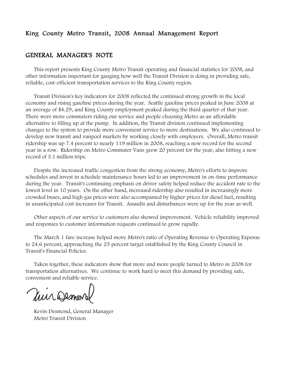# King County Metro Transit, 2008 Annual Management Report

# GENERAL MANAGER'S NOTE

This report presents King County Metro Transit operating and financial statistics for 2008, and other information important for gauging how well the Transit Division is doing in providing safe, reliable, cost-efficient transportation services to the King County region.

Transit Division's key indicators for 2008 reflected the continued strong growth in the local economy and rising gasoline prices during the year. Seattle gasoline prices peaked in June 2008 at an average of \$4.29, and King County employment peaked during the third quarter of that year. There were more commuters riding our service and people choosing Metro as an affordable alternative to filling up at the pump. In addition, the Transit division continued implementing changes to the system to provide more convenient service to more destinations. We also continued to develop new transit and vanpool markets by working closely with employers. Overall, Metro transit ridership was up 7.4 percent to nearly 119 million in 2008, reaching a new record for the second year in a row. Ridership on Metro Commuter Vans grew 20 percent for the year, also hitting a new record of 3.1 million trips.

Despite the increased traffic congestion from the strong economy, Metro's efforts to improve schedules and invest in schedule maintenance hours led to an improvement in on-time performance during the year. Transit's continuing emphasis on driver safety helped reduce the accident rate to the lowest level in 10 years. On the other hand, increased ridership also resulted in increasingly more crowded buses, and high gas prices were also accompanied by higher prices for diesel fuel, resulting in unanticipated cost increases for Transit. Assaults and disturbances were up for the year as well.

Other aspects of our service to customers also showed improvement. Vehicle reliability improved and responses to customer information requests continued to grow rapidly.

The March 1 fare increase helped move Metro's ratio of Operating Revenue to Operating Expense to 24.6 percent, approaching the 25 percent target established by the King County Council in Transit's Financial Policies.

Taken together, these indicators show that more and more people turned to Metro in 2008 for transportation alternatives. We continue to work hard to meet this demand by providing safe, convenient and reliable service.

Mir Demard

Kevin Desmond, General Manager Metro Transit Division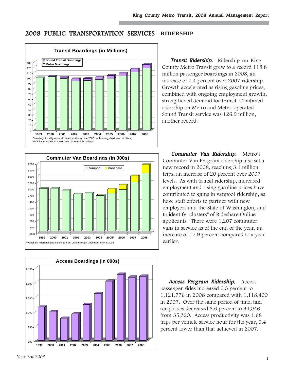# 2008 PUBLIC TRANSPORTATION SERVICES**—RIDERSHIP**



Transit Ridership. Ridership on King County Metro Transit grew to a record 118.8 million passenger boardings in 2008, an increase of 7.4 percent over 2007 ridership. Growth accelerated as rising gasoline prices, combined with ongoing employment growth, strengthened demand for transit. Combined ridership on Metro and Metro-operated Sound Transit service was 126.9 million, another record.





Commuter Van Ridership. Metro's Commuter Van Program ridership also set a new record in 2008, reaching 3.1 million trips, an increase of 20 percent over 2007 levels. As with transit ridership, increased employment and rising gasoline prices have contributed to gains in vanpool ridership, as have staff efforts to partner with new employers and the State of Washington, and to identify "clusters" of Rideshare Online applicants. There were 1,207 commuter vans in service as of the end of the year, an increase of 17.9 percent compared to a year earlier.

Access Program Ridership. Access passenger rides increased 0.3 percent to 1,121,776 in 2008 compared with 1,118,400 in 2007. Over the same period of time, taxi scrip rides decreased 3.6 percent to 34,046 from 35,320. Access productivity was 1.68 trips per vehicle service hour for the year, 3.4 percent lower than that achieved in 2007.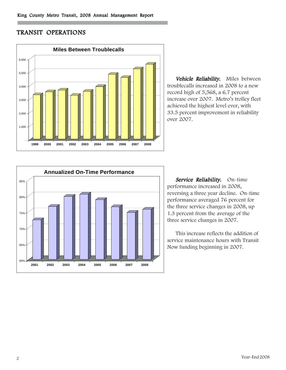# TRANSIT OPERATIONS



Vehicle Reliability. Miles between troublecalls increased in 2008 to a new record high of 5,568, a 6.7 percent increase over 2007. Metro's trolley fleet achieved the highest level ever, with 33.5 percent improvement in reliability over 2007.



Service Reliability. On-time performance increased in 2008, reversing a three year decline. On-time performance averaged 76 percent for the three service changes in 2008, up 1.3 percent from the average of the three service changes in 2007.

This increase reflects the addition of service maintenance hours with Transit Now funding beginning in 2007.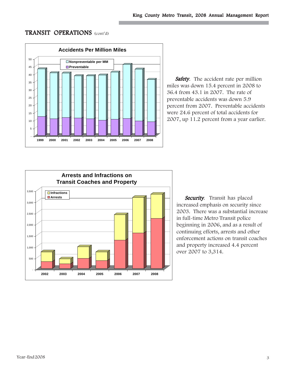# TRANSIT OPERATIONS (cont'd)



Safety. The accident rate per million miles was down 15.4 percent in 2008 to 36.4 from 43.1 in 2007. The rate of preventable accidents was down 5.9 percent from 2007. Preventable accidents were 24.6 percent of total accidents for 2007, up 11.2 percent from a year earlier.



Security. Transit has placed increased emphasis on security since 2003. There was a substantial increase in full-time Metro Transit police beginning in 2006, and as a result of continuing efforts, arrests and other enforcement actions on transit coaches and property increased 4.4 percent over 2007 to 3,314.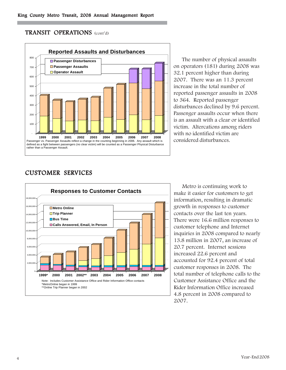# TRANSIT OPERATIONS (cont'd)



The number of physical assaults on operators (181) during 2008 was 32.1 percent higher than during 2007. There was an 11.3 percent increase in the total number of reported passenger assaults in 2008 to 364. Reported passenger disturbances declined by 9.6 percent. Passenger assaults occur when there is an assault with a clear or identified victim. Altercations among riders with no identified victim are considered disturbances.

# CUSTOMER SERVICES



Metro is continuing work to make it easier for customers to get information, resulting in dramatic growth in responses to customer contacts over the last ten years. There were 16.6 million responses to customer telephone and Internet inquiries in 2008 compared to nearly 13.8 million in 2007, an increase of 20.7 percent. Internet sessions increased 22.6 percent and accounted for 92.4 percent of total customer responses in 2008. The total number of telephone calls to the Customer Assistance Office and the Rider Information Office increased 4.8 percent in 2008 compared to 2007.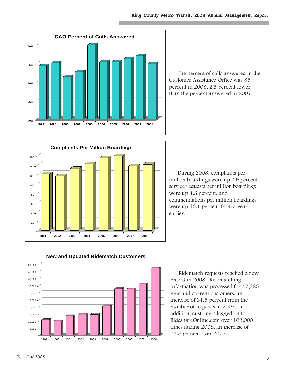

The percent of calls answered in the Customer Assistance Office was 85 percent in 2008, 2.5 percent lower than the percent answered in 2007.



During 2008, complaints per million boardings were up 2.9 percent, service requests per million boardings were up 4.8 percent, and commendations per million boardings were up 13.1 percent from a year earlier.



Ridematch requests reached a new record in 2008. Ridematching information was processed for 47,223 new and current customers, an increase of 31.5 percent from the number of requests in 2007. In addition, customers logged on to RideshareOnline.com over 109,000 times during 2008, an increase of 23.3 percent over 2007.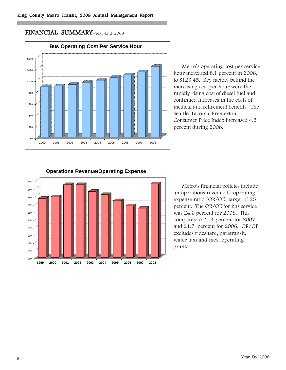# FINANCIAL SUMMARY–Year-End 2008



Metro's operating cost per service hour increased 8.1 percent in 2008, to \$123.45. Key factors behind the increasing cost per hour were the rapidly rising cost of diesel fuel and continued increases in the costs of medical and retirement benefits. The Seattle-Tacoma-Bremerton Consumer Price Index increased 4.2 percent during 2008.



Metro's financial policies include an operations revenue to operating expense ratio (OR/OE) target of 25 percent. The OR/OE for bus service was 24.6 percent for 2008. This compares to 21.4 percent for 2007 and 21.7 percent for 2006. OR/OE excludes rideshare, paratransit, water taxi and most operating grants.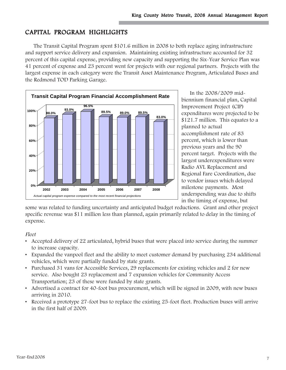# CAPITAL PROGRAM HIGHLIGHTS

The Transit Capital Program spent \$101.6 million in 2008 to both replace aging infrastructure and support service delivery and expansion. Maintaining existing infrastructure accounted for 32 percent of this capital expense, providing new capacity and supporting the Six-Year Service Plan was 41 percent of expense and 23 percent went for projects with our regional partners. Projects with the largest expense in each category were the Transit Asset Maintenance Program, Articulated Buses and the Redmond TOD Parking Garage.



In the 2008/2009 midbiennium financial plan, Capital Improvement Project (CIP) expenditures were projected to be \$121.7 million. This equates to a planned to actual accomplishment rate of 83 percent, which is lower than previous years and the 90 percent target. Projects with the largest underexpenditures were Radio AVL Replacement and Regional Fare Coordination, due to vendor issues which delayed milestone payments. Most underspending was due to shifts in the timing of expense, but

some was related to funding uncertainty and anticipated budget reductions. Grant and other project specific revenue was \$11 million less than planned, again primarily related to delay in the timing of expense.

### Fleet

- Accepted delivery of 22 articulated, hybrid buses that were placed into service during the summer to increase capacity.
- Expanded the vanpool fleet and the ability to meet customer demand by purchasing 234 additional vehicles, which were partially funded by state grants.
- Purchased 31 vans for Accessible Services, 29 replacements for existing vehicles and 2 for new service. Also bought 23 replacement and 7 expansion vehicles for Community Access Transportation; 23 of these were funded by state grants.
- Advertised a contract for 40-foot bus procurement, which will be signed in 2009, with new buses arriving in 2010.
- Received a prototype 27-foot bus to replace the existing 25-foot fleet. Production buses will arrive in the first half of 2009.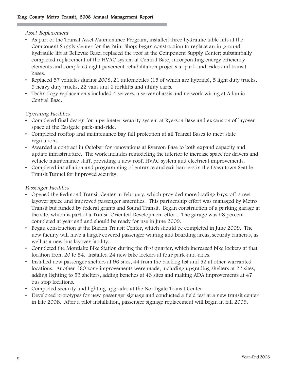### Asset Replacement

- As part of the Transit Asset Maintenance Program, installed three hydraulic table lifts at the Component Supply Center for the Paint Shop; began construction to replace an in-ground hydraulic lift at Bellevue Base; replaced the roof at the Component Supply Center; substantially completed replacement of the HVAC system at Central Base, incorporating energy efficiency elements and completed eight pavement rehabilitation projects at park-and-rides and transit bases.
- Replaced 57 vehicles during 2008, 21 automobiles (15 of which are hybrids), 5 light duty trucks, 3 heavy duty trucks, 22 vans and 6 forklifts and utility carts.
- Technology replacements included 4 servers, a server chassis and network wiring at Atlantic Central Base.

## Operating Facilities

- Completed final design for a perimeter security system at Ryerson Base and expansion of layover space at the Eastgate park-and-ride.
- Completed rooftop and maintenance bay fall protection at all Transit Bases to meet state regulations.
- Awarded a contract in October for renovations at Ryerson Base to both expand capacity and update infrastructure. The work includes remodeling the interior to increase space for drivers and vehicle maintenance staff, providing a new roof, HVAC system and electrical improvements.
- Completed installation and programming of entrance and exit barriers in the Downtown Seattle Transit Tunnel for improved security.

## Passenger Facilities

- Opened the Redmond Transit Center in February, which provided more loading bays, off-street layover space and improved passenger amenities. This partnership effort was managed by Metro Transit but funded by federal grants and Sound Transit. Began construction of a parking garage at the site, which is part of a Transit Oriented Development effort. The garage was 58 percent completed at year end and should be ready for use in June 2009.
- Began construction at the Burien Transit Center, which should be completed in June 2009. The new facility will have a larger covered passenger waiting and boarding areas, security cameras, as well as a new bus layover facility.
- Completed the Montlake Bike Station during the first quarter, which increased bike lockers at that location from 20 to 54. Installed 24 new bike lockers at four park-and-rides.
- Installed new passenger shelters at 96 sites, 44 from the backlog list and 52 at other warranted locations. Another 160 zone improvements were made, including upgrading shelters at 22 sites, adding lighting to 59 shelters, adding benches at 43 sites and making ADA improvements at 47 bus stop locations.
- Completed security and lighting upgrades at the Northgate Transit Center.
- Developed prototypes for new passenger signage and conducted a field test at a new transit center in late 2008. After a pilot installation, passenger signage replacement will begin in fall 2009.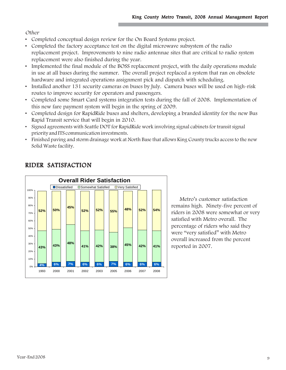## **Other**

- Completed conceptual design review for the On Board Systems project.
- Completed the factory acceptance test on the digital microwave subsystem of the radio replacement project. Improvements to nine radio antennae sites that are critical to radio system replacement were also finished during the year.
- Implemented the final module of the BOSS replacement project, with the daily operations module in use at all bases during the summer. The overall project replaced a system that ran on obsolete hardware and integrated operations assignment pick and dispatch with scheduling.
- Installed another 131 security cameras on buses by July. Camera buses will be used on high-risk routes to improve security for operators and passengers.
- Completed some Smart Card systems integration tests during the fall of 2008. Implementation of this new fare payment system will begin in the spring of 2009.
- Completed design for RapidRide buses and shelters, developing a branded identity for the new Bus Rapid Transit service that will begin in 2010.
- Signed agreements with Seattle DOT for RapidRide work involving signal cabinets for transit signal priority and ITS communication investments.
- Finished paving and storm drainage work at North Base that allows King County trucks access to the new Solid Waste facility.



# RIDER SATISFACTION

Metro's customer satisfaction remains high. Ninety-five percent of riders in 2008 were somewhat or very satisfied with Metro overall. The percentage of riders who said they were "very satisfied" with Metro overall increased from the percent reported in 2007.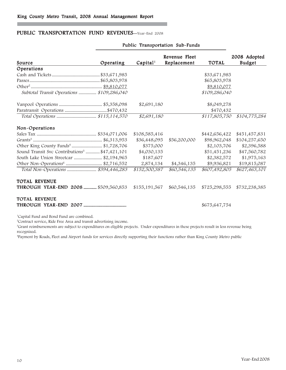### PUBLIC TRANSPORTATION FUND REVENUES-Year-End 2008

| Source                                                    | Operating | Capital <sup>1</sup> | Revenue Fleet<br>Replacement | <b>TOTAL</b>  | 2008 Adopted<br><b>Budget</b> |
|-----------------------------------------------------------|-----------|----------------------|------------------------------|---------------|-------------------------------|
| Operations                                                |           |                      |                              |               |                               |
|                                                           |           |                      |                              | \$33,671,985  |                               |
|                                                           |           |                      |                              | \$65,803,978  |                               |
|                                                           |           |                      |                              | \$9,810,077   |                               |
| Subtotal Transit Operations  \$109,286,040                |           |                      |                              | \$109,286,040 |                               |
|                                                           |           | \$2,691,180          |                              | \$8,049,278   |                               |
|                                                           |           |                      |                              | \$470,432     |                               |
|                                                           |           | $\sqrt{82,}691,180$  |                              | \$117,805,750 | \$104,775,284                 |
| Non-Operations                                            |           |                      |                              |               |                               |
|                                                           |           | \$108,585,416        |                              | \$442,656,422 | \$451,457,831                 |
|                                                           |           | \$36,448,095         | \$56,200,000                 | \$98,962,048  | \$104,257,650                 |
| Other King County Funds <sup>4</sup> \$1,728,706          |           | \$375,000            |                              | \$2,103,706   | \$2,396,588                   |
| Sound Transit Svc Contributions <sup>5</sup> \$47,421,101 |           | \$4,030,135          |                              | \$51,451,236  | \$47,560,782                  |
| South Lake Union Streetcar  \$2,194,965                   |           | \$187,607            |                              | \$2,382,572   | \$1,975,163                   |
| Other Non-Operations <sup>6</sup> \$2,716,552             |           | 2,874,134            | \$4,346,135                  | \$9,936,821   | \$19,815,087                  |
| Total Non-Operations  \$394,446,283                       |           | \$152,500,387        | \$60,546,135                 | \$607,492,805 | \$627,463,101                 |
| TOTAL REVENUE                                             |           |                      |                              |               |                               |
| THROUGH YEAR-END 2008  \$509,560,853                      |           | \$155,191,567        | \$60,546,135                 | \$725,298,555 | \$732,238,385                 |
| <b>TOTAL REVENUE</b>                                      |           |                      |                              |               |                               |
|                                                           |           |                      |                              | \$675,647,754 |                               |

#### Public Transportation Sub-Funds

1 Capital Fund and Bond Fund are combined.

2 Contract service, Ride Free Area and transit advertising income.

3 Grant reimbursements are subject to expenditures on eligible projects. Under expenditures in these projects result in less revenue being recognized.

4 Payment by Roads, Fleet and Airport funds for services directly supporting their functions rather than King County Metro public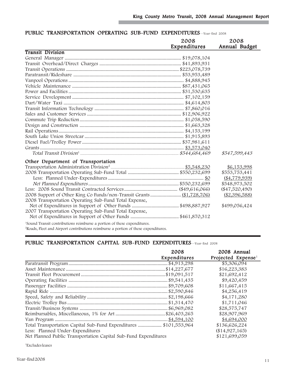|                                                                                     | 2008         | 2008             |
|-------------------------------------------------------------------------------------|--------------|------------------|
|                                                                                     | Expenditures | Annual Budget    |
| <b>Transit Division</b>                                                             |              |                  |
|                                                                                     |              |                  |
|                                                                                     |              |                  |
|                                                                                     |              |                  |
|                                                                                     |              |                  |
|                                                                                     |              |                  |
|                                                                                     |              |                  |
|                                                                                     |              |                  |
|                                                                                     |              |                  |
|                                                                                     |              |                  |
|                                                                                     |              |                  |
|                                                                                     |              |                  |
|                                                                                     |              |                  |
|                                                                                     |              |                  |
|                                                                                     |              |                  |
|                                                                                     |              |                  |
|                                                                                     |              |                  |
|                                                                                     |              |                  |
|                                                                                     |              | \$547,599,443    |
| Other Department of Transportation                                                  |              |                  |
|                                                                                     |              | \$6,153,998      |
|                                                                                     |              | \$553,753,441    |
|                                                                                     |              | ( \$4,779,939)   |
|                                                                                     |              | \$548,973,502    |
|                                                                                     |              | $(\$47,520,490)$ |
|                                                                                     |              | (\$2,396,588)    |
| 2008 Transportation Operating Sub-Fund Total Expense,                               |              |                  |
|                                                                                     |              | \$499,056,424    |
| 2007 Transportation Operating Sub-Fund Total Expense,                               |              |                  |
|                                                                                     |              |                  |
| <sup>1</sup> Sound Transit contributions reimburse a portion of these expenditures. |              |                  |

### PUBLIC TRANSPORTATION OPERATING SUB-FUND EXPENDITURES-Year-End 2008

Г

2 Roads, Fleet and Airport contributions reimburse a portion of these expenditures.

### PUBLIC TRANSPORTATION CAPITAL SUB-FUND EXPENDITURES-Year-End 2008

|                                                                   | 2008<br>Expenditures | 2008 Annual<br>Projected Expense <sup>1</sup> |
|-------------------------------------------------------------------|----------------------|-----------------------------------------------|
|                                                                   |                      | \$5,306,094                                   |
|                                                                   |                      | \$16,223,383                                  |
|                                                                   |                      | \$21,692,412                                  |
|                                                                   |                      | \$9,420,459                                   |
|                                                                   |                      | \$11,667,415                                  |
|                                                                   |                      | \$4,256,419                                   |
|                                                                   |                      | \$4,171,280                                   |
|                                                                   |                      | \$1,711,046                                   |
|                                                                   |                      | \$28,575,747                                  |
|                                                                   |                      | \$28,907,969                                  |
|                                                                   |                      | \$4,694,000                                   |
| Total Transportation Capital Sub-Fund Expenditures  \$101,553,964 |                      | \$136,626,224                                 |
| Less: Planned Under-Expenditures                                  |                      | (\$14,927,165)                                |
| Net Planned Public Transportation Capital Sub-Fund Expenditures   |                      | \$121,699,059                                 |

1 Excludes leases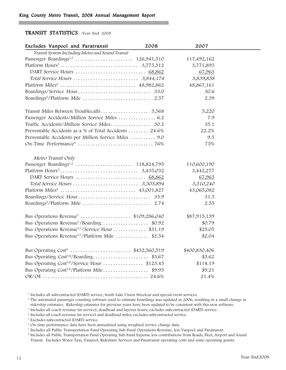### TRANSIT STATISTICS—Year-End 2008

| Excludes Vanpool and Paratransit                             | 2008 | 2007          |  |
|--------------------------------------------------------------|------|---------------|--|
| Transit System Including Metro and Sound Transit             |      |               |  |
|                                                              |      | 117,492,162   |  |
|                                                              |      | 3,771,895     |  |
|                                                              |      | 67,963        |  |
|                                                              |      | 3,839,858     |  |
|                                                              |      | 48,867,161    |  |
|                                                              |      | 30.6          |  |
|                                                              |      | 2.39          |  |
|                                                              |      | 5,220         |  |
| Passenger Accidents/Million Service Miles  6.2               |      | 7.9           |  |
| Traffic Accidents/Million Service Miles 30.2                 |      | 35.1          |  |
| Preventable Accidents as a % of Total Accidents  24.6%       |      | 22.2%         |  |
| Preventable Accidents per Million Service Miles  9.0         |      | 9.5           |  |
|                                                              |      | 75%           |  |
| Metro Transit Only                                           |      |               |  |
|                                                              |      | 110,600,190   |  |
|                                                              |      | 3,442,277     |  |
|                                                              |      | 67,963        |  |
|                                                              |      | 3,510,240     |  |
|                                                              |      | 43,065,082    |  |
|                                                              |      | 31.5          |  |
|                                                              |      | 2.55          |  |
| Bus Operations Revenue <sup>7</sup> \$109,286,040            |      | \$87,915,139  |  |
| Bus Operations Revenue <sup>7</sup> /Boarding  \$0.92        |      | \$0.79        |  |
| Bus Operations Revenue <sup>5,7</sup> /Service Hour  \$31.19 |      | \$25.05       |  |
| Bus Operations Revenue <sup>5,7</sup> /Platform Mile  \$2.54 |      | \$2.04        |  |
| Bus Operating Cost <sup>8</sup> \$432,560,519                |      | \$400,830,406 |  |
|                                                              |      | \$3.62        |  |
| Bus Operating Cost <sup>5,8</sup> /Service Hour  \$123.45    |      | \$114.19      |  |
| Bus Operating Cost <sup>5,8</sup> /Platform Mile\$9.95       |      | \$9.21        |  |
|                                                              |      | 21.4%         |  |

<sup>1</sup> Includes all subcontracted (DART) service, South Lake Union Streetcar and special event services.

<sup>2</sup> The automated passenger counting software used to estimate boardings was updated in 2006, resulting in a small change in ridership estimates. Ridership estimates for previous years have been updated to be consistent with this new software.

<sup>3</sup> Includes all coach revenue (in service), deadhead and layover hours; excludes subcontracted (DART) service.

<sup>4</sup> Includes all coach revenue (in service) and deadhead miles; excludes subcontracted service.

<sup>5</sup> Excludes subcontracted (DART) service.

<sup>6</sup> On-time performance data have been annualized using weighted service change data.

<sup>7</sup> Includes all Public Transportation Fund Operating Sub-Fund Operations Revenue, less Vanpool and Paratransit.

<sup>8</sup> Includes all Public Transportation Fund Operating Sub-Fund Expense less contributions from Roads, Fleet, Airport and Sound Transit. Excludes Water Taxi, Vanpool, Rideshare Services and Paratransit operating costs and some operating grants.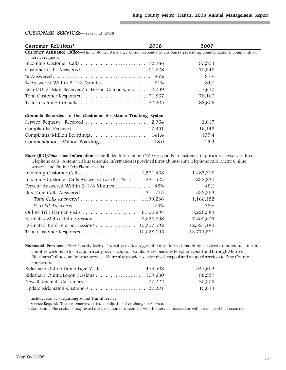### CUSTOMER SERVICES—Year-End 2008

| Customer Relations <sup>1</sup>                                                                                                                      | 2008 | 2007   |
|------------------------------------------------------------------------------------------------------------------------------------------------------|------|--------|
| <b>Customer Assistance Office—</b> The Customer Assistance Office responds to customers presenting commendations, complaints or<br>service requests. |      |        |
|                                                                                                                                                      |      | 80,994 |
|                                                                                                                                                      |      | 70,548 |
|                                                                                                                                                      |      | 87%    |
|                                                                                                                                                      |      | 84%    |
| Email/U. S. Mail Received/In-Person Contacts, etc 10,039                                                                                             |      | 7,612  |
|                                                                                                                                                      |      | 78,160 |
|                                                                                                                                                      |      | 88,606 |
| Contacts Recorded in the Customer Assistance Tracking System                                                                                         |      |        |
|                                                                                                                                                      |      | 2,617  |
|                                                                                                                                                      |      | 16,143 |
|                                                                                                                                                      |      | 137.4  |
| Commendations/Million Boardings  18.0                                                                                                                |      | 15.9   |

Rider (RIO)/Bus Time Information—The Rider Information Office responds to customer inquiries received via direct telephone calls. Automated bus schedule information is provided through Bus-Time telephone calls, Metro Online sessions and Online Trip Planner visits.

|                                                          | 1,487,218  |
|----------------------------------------------------------|------------|
| Incoming Customer Calls Answered (w/o Bus-Time)  884,523 | 832,830    |
| Percent Answered Within 2-1/3 Minutes  48%               | 49%        |
|                                                          | 333,353    |
|                                                          | 1,166,182  |
|                                                          | 78%        |
|                                                          | 5,226,584  |
|                                                          | 7,300,605  |
|                                                          | 12,527,189 |
|                                                          | 13,771,531 |

Ridematch Services-King County Metro Transit provides regional computerized matching services to individuals in nine counties wishing to form or join a carpool or vanpool. Contacts are made by telephone, mail and through Metro's RideshareOnline.com Internet service. Metro also provides customized carpool and vanpool services to King County employers.

|                                    | 347,653 |
|------------------------------------|---------|
|                                    | 88,937  |
|                                    | 20,306  |
| Update Ridematch Customers  20,201 | 15,614  |

<sup>1</sup> Includes contacts regarding Sound Transit service.

<sup>2</sup> Service Request: The customer requested an adjustment or change in service.

<sup>3</sup> Complaint: The customer expressed dissatisfaction or discontent with the service received or with an incident that occurred.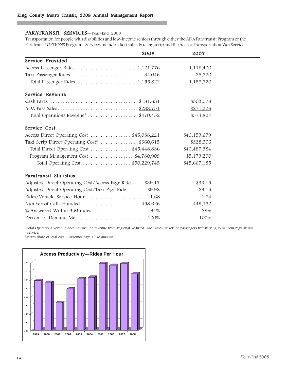### PARATRANSIT SERVICES—Year-End 2008

Transportation for people with disabilities and low-income seniors through either the ADA Paratransit Program or the Paratransit OPTIONS Program. Services include a taxi subsidy using scrip and the Access Transportation Van Service.

|                                                         | 2008 | 2007         |  |
|---------------------------------------------------------|------|--------------|--|
| Service Provided                                        |      |              |  |
|                                                         |      | 1,118,400    |  |
|                                                         |      | 35,320       |  |
|                                                         |      | 1,153,720    |  |
| Service Revenue                                         |      |              |  |
|                                                         |      | \$303,578    |  |
|                                                         |      | \$271,226    |  |
| Total Operations Revenue <sup>1</sup> \$470,432         |      | \$574,804    |  |
| Service Cost                                            |      |              |  |
| Access Direct Operating Cost \$45,088,221               |      | \$40,159,679 |  |
| Taxi Scrip Direct Operating Cost <sup>2</sup> \$360,615 |      | \$328,306    |  |
| Total Direct Operating Cost \$45,448,836                |      | \$40,487,984 |  |
| Program Management Cost  \$4,780,909                    |      | \$5,179,200  |  |
| Total Operating Cost  \$50,229,745                      |      | \$45,667,185 |  |
| <b>Paratransit Statistics</b>                           |      |              |  |
| Adjusted Direct Operating Cost/Access Psgr Ride \$39.17 |      | \$36.15      |  |
| Adjusted Direct Operating Cost/Taxi Psgr Ride  \$9.98   |      | \$9.15       |  |
|                                                         |      | 1.74         |  |
| Number of Calls Handled 458,626                         |      | 449,132      |  |
|                                                         |      | 89%          |  |
|                                                         |      | 100%         |  |

1 Total Operations Revenue does not include revenue from Regional Reduced Fare Passes, tickets or passengers transferring to or from regular bus service.

2 Metro share of total cost. Customer pays a like amount.

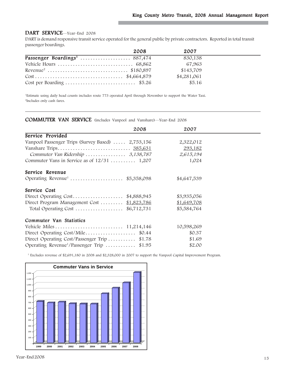### DART SERVICE—Year-End 2008

DART is demand responsive transit service operated for the general public by private contractors. Reported in total transit passenger boardings.

|                                                                                  | 2008 | 2007        |  |
|----------------------------------------------------------------------------------|------|-------------|--|
|                                                                                  |      | 830,138     |  |
|                                                                                  |      | 67,963      |  |
|                                                                                  |      | \$143,709   |  |
| $Cost \dots \dots \dots \dots \dots \dots \dots \dots \dots \dots \$ \$4,664,879 |      | \$4,281,061 |  |
|                                                                                  |      | \$5.16      |  |

1 Estimate using daily head counts includes route 773 operated April through November to support the Water Taxi. 2 Includes only cash fares.

### COMMUTER VAN SERVICE (includes Vanpool and Vanshare)—Year-End 2008

| 2008                                                   | 2007        |  |
|--------------------------------------------------------|-------------|--|
| Service Provided                                       |             |  |
| Vanpool Passenger Trips (Survey Based)  2,753,156      | 2,322,012   |  |
|                                                        | 293,182     |  |
| Commuter Van Ridership  3,138,787                      | 2,615,194   |  |
| Commuter Vans in Service as of $12/31$ 1,207           | 1,024       |  |
| Service Revenue                                        |             |  |
|                                                        | \$4,647,539 |  |
| Service Cost                                           |             |  |
| Direct Operating $Cost$ \$4,888,945                    | \$3,935,056 |  |
| Direct Program Management Cost  \$1,823,786            | \$1,649,708 |  |
| Total Operating Cost $$6,712,731$                      | \$5,584,764 |  |
| Commuter Van Statistics                                |             |  |
|                                                        | 10,598,269  |  |
| Direct Operating $Cost/Mile$ \$0.44                    | \$0.37      |  |
| Direct Operating Cost/Passenger Trip<br>\$1.78         | \$1.69      |  |
| Operating Revenue <sup>1</sup> /Passenger Trip  \$1.95 | \$2.00      |  |

1 Excludes revenue of \$2,691,180 in 2008 and \$2,328,000 in 2007 to support the Vanpool Capital Improvement Program.

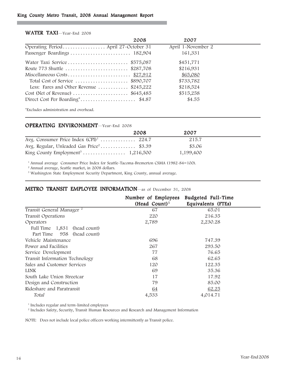### King County Metro Transit, 2008 Annual Management Report

|                                          | 2008 | 2007               |
|------------------------------------------|------|--------------------|
|                                          |      | April 1-November 2 |
|                                          |      | 161,331            |
| Water Taxi Service \$575,087             |      | \$451,771          |
| Route 773 Shuttle  \$287,708             |      | \$216,931          |
|                                          |      | \$65,080           |
| Total Cost of Service \$890,707          |      | \$733,782          |
| Less: Fares and Other Revenue  \$245,222 |      | \$218,524          |
|                                          |      | \$515,258          |
|                                          |      | \$4.55             |

#### WATER TAXI-Year-End 2008

\*Excludes administration and overhead.

### OPERATING ENVIRONMENT—Year-End 2008

|                                                      | 2008 | 2007      |
|------------------------------------------------------|------|-----------|
| Avg. Consumer Price Index $(CPI)^1$ 224.7            |      | 215.7     |
| Avg. Regular, Unleaded Gas Price <sup>2</sup> \$3.39 |      | \$3.06    |
|                                                      |      | 1,199,400 |

<sup>1</sup> Annual average Consumer Price Index for Seattle-Tacoma-Bremerton CSMA (1982-84=100).

<sup>2</sup> Annual average, Seattle market, in 2008 dollars.

<sup>3</sup> Washington State Employment Security Department, King County, annual average.

### METRO TRANSIT EMPLOYEE INFORMATION—as of December 31, 2008

|                                      | Number of Employees<br>$(Head Count)^1$ | Budgeted Full-Time<br>Equivalents (FTEs) |  |
|--------------------------------------|-----------------------------------------|------------------------------------------|--|
| Transit General Manager <sup>2</sup> | 67                                      | 65.01                                    |  |
| Transit Operations                   | 220                                     | 216.35                                   |  |
| Operators                            | 2,789                                   | 2,230.28                                 |  |
| Full Time 1,831 (head count)         |                                         |                                          |  |
| Part Time 958 (head count)           |                                         |                                          |  |
| Vehicle Maintenance                  | 696                                     | 747.39                                   |  |
| Power and Facilities                 | 267                                     | 293.50                                   |  |
| Service Development                  | 77                                      | 76.65                                    |  |
| Transit Information Technology       | 68                                      | 62.65                                    |  |
| Sales and Customer Services          | 120                                     | 122.35                                   |  |
| <b>LINK</b>                          | 69                                      | 35.36                                    |  |
| South Lake Union Streetcar           | 17                                      | 17.92                                    |  |
| Design and Construction              | 79                                      | 85.00                                    |  |
| Rideshare and Paratransit            | <u>64</u>                               | 62.25                                    |  |
| Total                                | 4,533                                   | 4,014.71                                 |  |

<sup>1</sup> Includes regular and term-limited employees

<sup>2</sup> Includes Safety, Security, Transit Human Resources and Research and Management Information

NOTE: Does not include local police officers working intermittently as Transit police.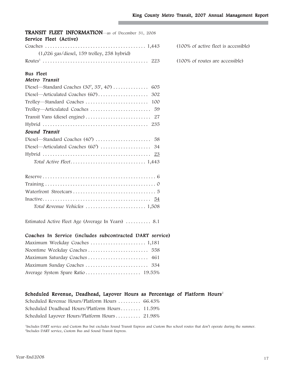| <b>TRANSIT FLEET INFORMATION</b> —as of December 31, 2008<br>Service Fleet (Active) |                                      |
|-------------------------------------------------------------------------------------|--------------------------------------|
|                                                                                     | (100% of active fleet is accessible) |
| $(1,026$ gas/diesel, 159 trolley, 258 hybrid)                                       |                                      |
|                                                                                     | (100% of routes are accessible)      |
| <b>Bus</b> Fleet                                                                    |                                      |
| Metro Transit                                                                       |                                      |
| Diesel—Standard Coaches $(30', 35', 40') \dots \dots \dots$<br>-605                 |                                      |
|                                                                                     |                                      |
|                                                                                     |                                      |
|                                                                                     |                                      |
|                                                                                     |                                      |
|                                                                                     |                                      |
| Sound Transit                                                                       |                                      |
|                                                                                     |                                      |
|                                                                                     |                                      |
|                                                                                     |                                      |
|                                                                                     |                                      |
|                                                                                     |                                      |
|                                                                                     |                                      |
|                                                                                     |                                      |
|                                                                                     |                                      |
|                                                                                     |                                      |

Estimated Active Fleet Age (Average In Years) ......... 8.1

### Coaches In Service (includes subcontracted DART service)

### Scheduled Revenue, Deadhead, Layover Hours as Percentage of Platform Hours<sup>2</sup>

| Scheduled Revenue Hours/Platform Hours  66.43% |  |
|------------------------------------------------|--|
| Scheduled Deadhead Hours/Platform Hours 11.59% |  |
| Scheduled Layover Hours/Platform Hours 21.98%  |  |

1 Includes DART service and Custom Bus but excludes Sound Transit Express and Custom Bus school routes that don't operate during the summer. 2 Includes DART service, Custom Bus and Sound Transit Express.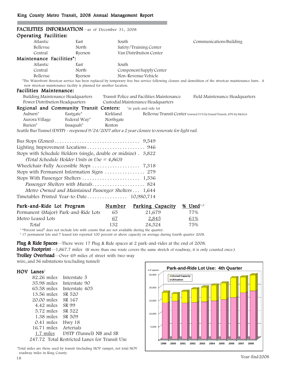| FACILITIES INFORMATION—as of December 31, 2008                                                    |           |                                           |                                                                                                                                                         |  |  |
|---------------------------------------------------------------------------------------------------|-----------|-------------------------------------------|---------------------------------------------------------------------------------------------------------------------------------------------------------|--|--|
| Operating Facilities:                                                                             |           |                                           |                                                                                                                                                         |  |  |
| Atlantic<br>East                                                                                  | South     |                                           | Communications Building                                                                                                                                 |  |  |
| Bellevue<br>North                                                                                 |           | Safety/Training Center                    |                                                                                                                                                         |  |  |
| Central<br>Ryerson                                                                                |           | Van Distribution Center                   |                                                                                                                                                         |  |  |
| Maintenance Facilities*:                                                                          |           |                                           |                                                                                                                                                         |  |  |
| Atlantic<br>East                                                                                  | South     |                                           |                                                                                                                                                         |  |  |
| Central<br>North                                                                                  |           | Component Supply Center                   |                                                                                                                                                         |  |  |
| Bellevue<br>Ryerson                                                                               |           | Non-Revenue Vehicle                       |                                                                                                                                                         |  |  |
| new streetcar maintenance facility is planned for another location.                               |           |                                           | *The Waterfront Streetcar service has been replaced by temporary free bus service following closure and demolition of the streetcar maintenance barn. A |  |  |
| Facilities Maintenance:                                                                           |           |                                           |                                                                                                                                                         |  |  |
| Building Maintenance Headquarters                                                                 |           | Transit Police and Facilities Maintenance | Field Maintenance Headquarters                                                                                                                          |  |  |
| Power Distribution Headquarters                                                                   |           | Custodial Maintenance Headquarters        |                                                                                                                                                         |  |  |
| Regional and Community Transit Centers: *in park-and-ride lot                                     |           |                                           |                                                                                                                                                         |  |  |
| Auburn <sup>*</sup><br>Eastgate*                                                                  | Kirkland  |                                           | Bellevue Transit Center (owned 51% by Sound Transit, 49% by Metro)                                                                                      |  |  |
| Federal Way*<br>Aurora Village                                                                    | Northgate |                                           |                                                                                                                                                         |  |  |
| Burien*<br>Issaquah*                                                                              | Renton    |                                           |                                                                                                                                                         |  |  |
| Seattle Bus Tunnel (DSTP) - reopened 9/24/2007 after a 2 year closure to renovate for light rail. |           |                                           |                                                                                                                                                         |  |  |
|                                                                                                   |           |                                           |                                                                                                                                                         |  |  |
|                                                                                                   |           |                                           |                                                                                                                                                         |  |  |
| Stops with Schedule Holders (single, double or midsize) . 3,822                                   |           |                                           |                                                                                                                                                         |  |  |
| (Total Schedule Holder Units in Use = $4,863$ )                                                   |           |                                           |                                                                                                                                                         |  |  |
|                                                                                                   |           |                                           |                                                                                                                                                         |  |  |
| Stops with Permanent Information Signs  279                                                       |           |                                           |                                                                                                                                                         |  |  |
|                                                                                                   |           |                                           |                                                                                                                                                         |  |  |
| Passenger Shelters with Murals 824                                                                |           |                                           |                                                                                                                                                         |  |  |
|                                                                                                   |           |                                           |                                                                                                                                                         |  |  |
| Metro Owned and Maintained Passenger Shelters 1,644                                               |           |                                           |                                                                                                                                                         |  |  |
|                                                                                                   |           |                                           |                                                                                                                                                         |  |  |
| Park-and-Ride Lot Program                                                                         | Number    | Parking Capacity                          | $%$ Used <sup>1,2</sup>                                                                                                                                 |  |  |
| Permanent (Major) Park-and-Ride Lots                                                              | 65        | 21,679                                    | 77%                                                                                                                                                     |  |  |
| Metro Leased Lots                                                                                 | <u>67</u> | 2,845                                     | 61%                                                                                                                                                     |  |  |
| Total                                                                                             | 132       | 24,524                                    | 75%                                                                                                                                                     |  |  |

<sup>1</sup> "Percent used" does not include lots with counts that are not available during the quarter.

<sup>2</sup> 17 permanent lots and 7 leased lots reported 100 percent or above capacity on average during fourth quarter 2008.

**Plug & Ride Spaces**—There were 17 Plug & Ride spaces at 2 park-and-rides at the end of 2008.

Metro Footprint—1,867.7 miles (If more than one route covers the same stretch of roadway, it is only counted once.)

Trolley Overhead—Over 69 miles of street with two-way wire, and 36 substations (excluding tunnel)

#### $HOV$  Lanes<sup>1</sup>

| 82.26 miles | Interstate 5                                                                                                                                                                                       |
|-------------|----------------------------------------------------------------------------------------------------------------------------------------------------------------------------------------------------|
| 35.98 miles | Interstate 90                                                                                                                                                                                      |
| 65.58 miles | Interstate 405                                                                                                                                                                                     |
| 13.56 miles | SR 520                                                                                                                                                                                             |
| 20.00 miles | SR 167                                                                                                                                                                                             |
| 4.42 miles  | SR 99                                                                                                                                                                                              |
| 5.72 miles  | SR 522                                                                                                                                                                                             |
| 1.38 miles  | SR 509                                                                                                                                                                                             |
| 0.41 miles  | Hwy 18                                                                                                                                                                                             |
| 16.71 miles | Arterials                                                                                                                                                                                          |
| 1.7 miles   | DSTP (Tunnel) NB and SB                                                                                                                                                                            |
|             | $0.4\,\pm\,0.7\,\mathrm{m}$ , $\epsilon$ , $1.1\,\mathrm{m}$ , $\epsilon$ , $\epsilon$ , $1.1\,\pm\,0.1\,\mathrm{m}$ , $\epsilon$ , $\epsilon$ , $\epsilon$ , $\epsilon$ , $\epsilon$ , $\epsilon$ |

247.72 Total Restricted Lanes for Transit Use

1 Total miles are those used by transit (including HOV ramps), not total HOV roadway miles in King County.

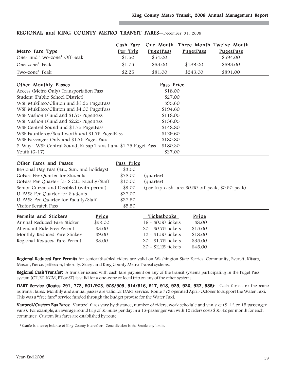| Metro Fare Type<br>One- and Two-zone <sup>1</sup> Off-peak                                                                                                                                                                                                                                                                                                                                                                                                                                                    | Cash Fare<br>Per Trip<br>\$1.50                                                      | PugetPass<br>\$54.00                                                                                                                       | PugetPass                                                   | One Month Three Month Twelve Month<br>PugetPass<br>\$594.00 |
|---------------------------------------------------------------------------------------------------------------------------------------------------------------------------------------------------------------------------------------------------------------------------------------------------------------------------------------------------------------------------------------------------------------------------------------------------------------------------------------------------------------|--------------------------------------------------------------------------------------|--------------------------------------------------------------------------------------------------------------------------------------------|-------------------------------------------------------------|-------------------------------------------------------------|
| One-zone <sup>1</sup> Peak                                                                                                                                                                                                                                                                                                                                                                                                                                                                                    | \$1.75                                                                               | \$63.00                                                                                                                                    | \$189.00                                                    | \$693.00                                                    |
| Two-zone <sup>1</sup> Peak                                                                                                                                                                                                                                                                                                                                                                                                                                                                                    | \$2.25                                                                               | \$81.00                                                                                                                                    | \$243.00                                                    | \$891.00                                                    |
| Other Monthly Passes<br>Access (Metro Only) Transportation Pass<br>Student (Public School District)<br>WSF Mukilteo/Clinton and \$1.25 PugetPass<br>WSF Mukilteo/Clinton and \$4.00 PugetPass<br>WSF Vashon Island and \$1.75 PugetPass<br>WSF Vashon Island and \$2.25 PugetPass<br>WSF Central Sound and \$1.75 PugetPass<br>WSF Fauntleroy/Southworth and \$1.75 PugetPass<br>WSF Passenger Only and \$1.75 Puget Pass<br>3-Way: WSF Central Sound, Kitsap Transit and \$1.75 Puget Pass<br>Youth $(6-17)$ |                                                                                      | Pass Price<br>\$18.00<br>\$27.00<br>\$95.60<br>\$194.60<br>\$118.05<br>\$136.05<br>\$148.80<br>\$129.60<br>\$180.80<br>\$180.30<br>\$27.00 |                                                             |                                                             |
| Other Fares and Passes<br>Regional Day Pass (Sat., Sun. and holidays)<br>GoPass Per Quarter for Students<br>GoPass Per Quarter for S.C.C. Faculty/Staff<br>Senior Citizen and Disabled (with permit)<br>U-PASS Per Quarter for Students<br>U-PASS Per Quarter for Faculty/Staff<br>Visitor Scratch Pass                                                                                                                                                                                                       | Pass Price<br>\$3.50<br>\$78.00<br>\$10.00<br>\$9.00<br>\$27.00<br>\$37.50<br>\$5.50 | (quarter)<br>(quarter)                                                                                                                     |                                                             | (per trip cash fare-\$0.50 off-peak, \$0.50 peak)           |
| Permits and Stickers<br>Price<br>Annual Reduced Fare Sticker<br>\$99.00<br>Attendant Ride Free Permit<br>\$3.00<br>Monthly Reduced Fare Sticker<br>\$9.00<br>Regional Reduced Fare Permit<br>\$3.00                                                                                                                                                                                                                                                                                                           |                                                                                      | Ticketbooks<br>16 - \$0.50 tickets<br>20 - \$0.75 tickets<br>12 - \$1.50 tickets<br>20 - \$1.75 tickets<br>20 - \$2.25 tickets             | Price<br>\$8.00<br>\$15.00<br>\$18.00<br>\$35.00<br>\$45.00 |                                                             |

# REGIONAL and KING COUNTY METRO TRANSIT FARES-December 31, 2008

Regional Reduced Fare Permits for senior/disabled riders are valid on Washington State Ferries, Community, Everett, Kitsap, Mason, Pierce, Jefferson, Intercity, Skagit and King County Metro Transit systems.

Regional Cash Transfer: A transfer issued with cash fare payment on any of the transit systems participating in the Puget Pass system (CT, ET, KCM, PT or ST) is valid for a one-zone or local trip on any of the other systems.

DART Service (Routes 291, 773, 901/903, 908/909, 914/916, 917, 918, 925, 926, 927, 935): Cash fares are the same as transit fares. Monthly and annual passes are valid for DART service. Route 773 operated April-October to support the Water Taxi. This was a "free fare" service funded through the budget proviso for the Water Taxi.

Vanpool/Custom Bus Fares: Vanpool fares vary by distance, number of riders, work schedule and van size (8, 12 or 15 passenger vans). For example, an average round trip of 55 miles per day in a 15-passenger van with 12 riders costs \$55.42 per month for each commuter. Custom Bus fares are established by route.

<sup>1</sup> Seattle is a zone; balance of King County is another. Zone division is the Seattle city limits.